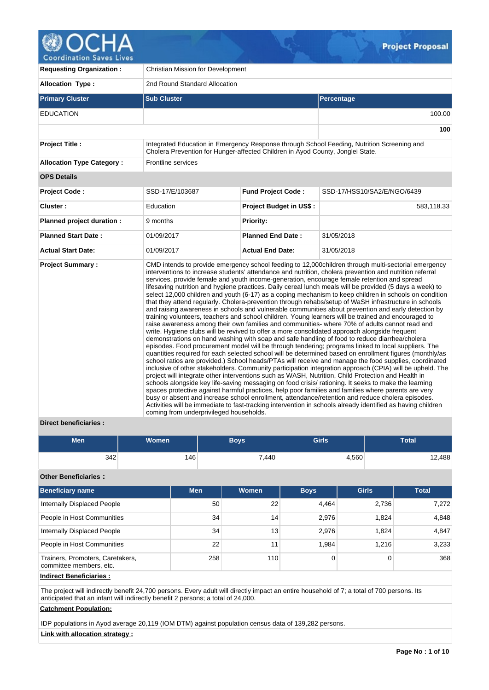

| <b>Requesting Organization:</b>  | Christian Mission for Development                                              |                                |                                                                                                                                                                                                                                                                                                                                                                                                                                                                                                                                                                                                                                                                                                                                                                                                                                                                                                                                                                                                                                                                                                                                                                                                                                                                                                                                                                                                                                                                                                                                                                                                                                                                                                                                                                                                                                                                                                                                                                                                                                                                                                                                               |  |  |  |  |
|----------------------------------|--------------------------------------------------------------------------------|--------------------------------|-----------------------------------------------------------------------------------------------------------------------------------------------------------------------------------------------------------------------------------------------------------------------------------------------------------------------------------------------------------------------------------------------------------------------------------------------------------------------------------------------------------------------------------------------------------------------------------------------------------------------------------------------------------------------------------------------------------------------------------------------------------------------------------------------------------------------------------------------------------------------------------------------------------------------------------------------------------------------------------------------------------------------------------------------------------------------------------------------------------------------------------------------------------------------------------------------------------------------------------------------------------------------------------------------------------------------------------------------------------------------------------------------------------------------------------------------------------------------------------------------------------------------------------------------------------------------------------------------------------------------------------------------------------------------------------------------------------------------------------------------------------------------------------------------------------------------------------------------------------------------------------------------------------------------------------------------------------------------------------------------------------------------------------------------------------------------------------------------------------------------------------------------|--|--|--|--|
| <b>Allocation Type:</b>          | 2nd Round Standard Allocation                                                  |                                |                                                                                                                                                                                                                                                                                                                                                                                                                                                                                                                                                                                                                                                                                                                                                                                                                                                                                                                                                                                                                                                                                                                                                                                                                                                                                                                                                                                                                                                                                                                                                                                                                                                                                                                                                                                                                                                                                                                                                                                                                                                                                                                                               |  |  |  |  |
| <b>Primary Cluster</b>           | <b>Sub Cluster</b>                                                             |                                | <b>Percentage</b>                                                                                                                                                                                                                                                                                                                                                                                                                                                                                                                                                                                                                                                                                                                                                                                                                                                                                                                                                                                                                                                                                                                                                                                                                                                                                                                                                                                                                                                                                                                                                                                                                                                                                                                                                                                                                                                                                                                                                                                                                                                                                                                             |  |  |  |  |
| <b>EDUCATION</b>                 |                                                                                |                                | 100.00                                                                                                                                                                                                                                                                                                                                                                                                                                                                                                                                                                                                                                                                                                                                                                                                                                                                                                                                                                                                                                                                                                                                                                                                                                                                                                                                                                                                                                                                                                                                                                                                                                                                                                                                                                                                                                                                                                                                                                                                                                                                                                                                        |  |  |  |  |
|                                  |                                                                                |                                | 100                                                                                                                                                                                                                                                                                                                                                                                                                                                                                                                                                                                                                                                                                                                                                                                                                                                                                                                                                                                                                                                                                                                                                                                                                                                                                                                                                                                                                                                                                                                                                                                                                                                                                                                                                                                                                                                                                                                                                                                                                                                                                                                                           |  |  |  |  |
| <b>Project Title:</b>            | Cholera Prevention for Hunger-affected Children in Ayod County, Jonglei State. |                                | Integrated Education in Emergency Response through School Feeding, Nutrition Screening and                                                                                                                                                                                                                                                                                                                                                                                                                                                                                                                                                                                                                                                                                                                                                                                                                                                                                                                                                                                                                                                                                                                                                                                                                                                                                                                                                                                                                                                                                                                                                                                                                                                                                                                                                                                                                                                                                                                                                                                                                                                    |  |  |  |  |
| <b>Allocation Type Category:</b> | Frontline services                                                             |                                |                                                                                                                                                                                                                                                                                                                                                                                                                                                                                                                                                                                                                                                                                                                                                                                                                                                                                                                                                                                                                                                                                                                                                                                                                                                                                                                                                                                                                                                                                                                                                                                                                                                                                                                                                                                                                                                                                                                                                                                                                                                                                                                                               |  |  |  |  |
| <b>OPS Details</b>               |                                                                                |                                |                                                                                                                                                                                                                                                                                                                                                                                                                                                                                                                                                                                                                                                                                                                                                                                                                                                                                                                                                                                                                                                                                                                                                                                                                                                                                                                                                                                                                                                                                                                                                                                                                                                                                                                                                                                                                                                                                                                                                                                                                                                                                                                                               |  |  |  |  |
| <b>Project Code:</b>             | SSD-17/E/103687                                                                | <b>Fund Project Code:</b>      | SSD-17/HSS10/SA2/E/NGO/6439                                                                                                                                                                                                                                                                                                                                                                                                                                                                                                                                                                                                                                                                                                                                                                                                                                                                                                                                                                                                                                                                                                                                                                                                                                                                                                                                                                                                                                                                                                                                                                                                                                                                                                                                                                                                                                                                                                                                                                                                                                                                                                                   |  |  |  |  |
| Cluster:                         | Education                                                                      | <b>Project Budget in US\$:</b> | 583,118.33                                                                                                                                                                                                                                                                                                                                                                                                                                                                                                                                                                                                                                                                                                                                                                                                                                                                                                                                                                                                                                                                                                                                                                                                                                                                                                                                                                                                                                                                                                                                                                                                                                                                                                                                                                                                                                                                                                                                                                                                                                                                                                                                    |  |  |  |  |
| Planned project duration :       | 9 months                                                                       | <b>Priority:</b>               |                                                                                                                                                                                                                                                                                                                                                                                                                                                                                                                                                                                                                                                                                                                                                                                                                                                                                                                                                                                                                                                                                                                                                                                                                                                                                                                                                                                                                                                                                                                                                                                                                                                                                                                                                                                                                                                                                                                                                                                                                                                                                                                                               |  |  |  |  |
| <b>Planned Start Date:</b>       | 01/09/2017                                                                     | <b>Planned End Date:</b>       | 31/05/2018                                                                                                                                                                                                                                                                                                                                                                                                                                                                                                                                                                                                                                                                                                                                                                                                                                                                                                                                                                                                                                                                                                                                                                                                                                                                                                                                                                                                                                                                                                                                                                                                                                                                                                                                                                                                                                                                                                                                                                                                                                                                                                                                    |  |  |  |  |
| <b>Actual Start Date:</b>        | 01/09/2017                                                                     | <b>Actual End Date:</b>        | 31/05/2018                                                                                                                                                                                                                                                                                                                                                                                                                                                                                                                                                                                                                                                                                                                                                                                                                                                                                                                                                                                                                                                                                                                                                                                                                                                                                                                                                                                                                                                                                                                                                                                                                                                                                                                                                                                                                                                                                                                                                                                                                                                                                                                                    |  |  |  |  |
| <b>Project Summary:</b>          | coming from underprivileged households.                                        |                                | CMD intends to provide emergency school feeding to 12,000 children through multi-sectorial emergency<br>interventions to increase students' attendance and nutrition, cholera prevention and nutrition referral<br>services, provide female and youth income-generation, encourage female retention and spread<br>lifesaving nutrition and hygiene practices. Daily cereal lunch meals will be provided (5 days a week) to<br>select 12,000 children and youth (6-17) as a coping mechanism to keep children in schools on condition<br>that they attend regularly. Cholera-prevention through rehabs/setup of WaSH infrastructure in schools<br>and raising awareness in schools and vulnerable communities about prevention and early detection by<br>training volunteers, teachers and school children. Young learners will be trained and encouraged to<br>raise awareness among their own families and communities- where 70% of adults cannot read and<br>write. Hygiene clubs will be revived to offer a more consolidated approach alongside frequent<br>demonstrations on hand washing with soap and safe handling of food to reduce diarrhea/cholera<br>episodes. Food procurement model will be through tendering; programs linked to local suppliers. The<br>quantities required for each selected school will be determined based on enrollment figures (monthly/as<br>school ratios are provided.) School heads/PTAs will receive and manage the food supplies, coordinated<br>inclusive of other stakeholders. Community participation integration approach (CPIA) will be upheld. The<br>project will integrate other interventions such as WASH, Nutrition, Child Protection and Health in<br>schools alongside key life-saving messaging on food crisis/ rationing. It seeks to make the learning<br>spaces protective against harmful practices, help poor families and families where parents are very<br>busy or absent and increase school enrollment, attendance/retention and reduce cholera episodes.<br>Activities will be immediate to fast-tracking intervention in schools already identified as having children |  |  |  |  |

# **Direct beneficiaries :**

| <b>Men</b> | <b>Women</b> | Boys' | <b>Girls</b> | <b>Total</b> |
|------------|--------------|-------|--------------|--------------|
| 342        | 146          | 7,440 | 4,560        | 12,488       |

## **Other Beneficiaries :**

| <b>Beneficiary name</b>                                     | <b>Men</b>      | <b>Women</b> | <b>Boys</b> | <b>Girls</b> | <b>Total</b> |
|-------------------------------------------------------------|-----------------|--------------|-------------|--------------|--------------|
| Internally Displaced People                                 | 50 <sup>1</sup> | 22           | 4,464       | 2,736        | 7,272        |
| People in Host Communities                                  | 34              | 14           | 2,976       | 1.824        | 4,848        |
| Internally Displaced People                                 | 34              | 13           | 2,976       | 1,824        | 4,847        |
| People in Host Communities                                  | 22              | 11           | 1.984       | 1.216        | 3,233        |
| Trainers, Promoters, Caretakers,<br>committee members, etc. | 258             | 110          |             | 0            | 368          |

# **Indirect Beneficiaries :**

The project will indirectly benefit 24,700 persons. Every adult will directly impact an entire household of 7; a total of 700 persons. Its anticipated that an infant will indirectly benefit 2 persons; a total of 24,000.

## **Catchment Population:**

IDP populations in Ayod average 20,119 (IOM DTM) against population census data of 139,282 persons.

# **Link with allocation strategy :**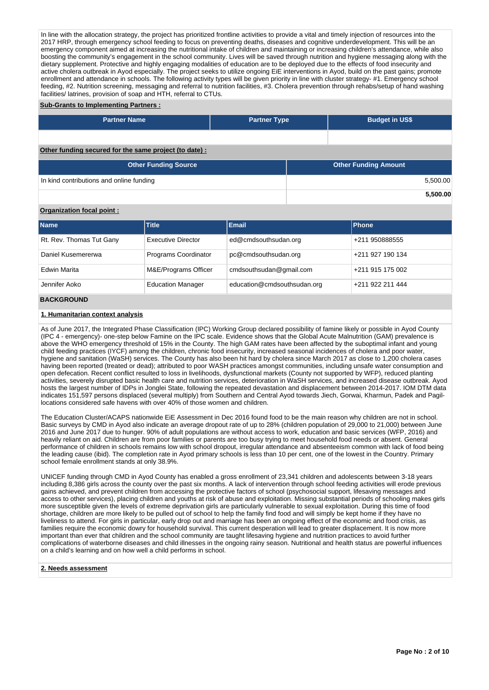In line with the allocation strategy, the project has prioritized frontline activities to provide a vital and timely injection of resources into the 2017 HRP, through emergency school feeding to focus on preventing deaths, diseases and cognitive underdevelopment. This will be an emergency component aimed at increasing the nutritional intake of children and maintaining or increasing children's attendance, while also boosting the community's engagement in the school community. Lives will be saved through nutrition and hygiene messaging along with the dietary supplement. Protective and highly engaging modalities of education are to be deployed due to the effects of food insecurity and active cholera outbreak in Ayod especially. The project seeks to utilize ongoing EiE interventions in Ayod, build on the past gains; promote enrollment and attendance in schools. The following activity types will be given priority in line with cluster strategy- #1. Emergency school feeding, #2. Nutrition screening, messaging and referral to nutrition facilities, #3. Cholera prevention through rehabs/setup of hand washing facilities/ latrines, provision of soap and HTH, referral to CTUs.

#### **Sub-Grants to Implementing Partners :**

| <b>Partner Name</b>                                    | <b>Partner Type</b> | <b>Budget in US\$</b>       |          |
|--------------------------------------------------------|---------------------|-----------------------------|----------|
|                                                        |                     |                             |          |
| Other funding secured for the same project (to date) : |                     |                             |          |
| <b>Other Funding Source</b>                            |                     | <b>Other Funding Amount</b> |          |
| In kind contributions and online funding               |                     |                             | 5,500.00 |

## **Organization focal point :**

| <b>Name</b>              | <b>Title</b>              | <b>Email</b>                | <b>Phone</b>     |
|--------------------------|---------------------------|-----------------------------|------------------|
| Rt. Rev. Thomas Tut Gany | <b>Executive Director</b> | ed@cmdsouthsudan.org        | +211 950888555   |
| Daniel Kusemererwa       | Programs Coordinator      | pc@cmdsouthsudan.org        | +211 927 190 134 |
| Edwin Marita             | M&E/Programs Officer      | cmdsouthsudan@gmail.com     | +211 915 175 002 |
| Jennifer Aoko            | <b>Education Manager</b>  | education@cmdsouthsudan.org | +211 922 211 444 |
| <b>BIAI/ABAIILIB</b>     |                           |                             |                  |

#### **BACKGROUND**

#### **1. Humanitarian context analysis**

As of June 2017, the Integrated Phase Classification (IPC) Working Group declared possibility of famine likely or possible in Ayod County (IPC 4 - emergency)- one-step below Famine on the IPC scale. Evidence shows that the Global Acute Malnutrition (GAM) prevalence is above the WHO emergency threshold of 15% in the County. The high GAM rates have been affected by the suboptimal infant and young child feeding practices (IYCF) among the children, chronic food insecurity, increased seasonal incidences of cholera and poor water, hygiene and sanitation (WaSH) services. The County has also been hit hard by cholera since March 2017 as close to 1,200 cholera cases having been reported (treated or dead); attributed to poor WASH practices amongst communities, including unsafe water consumption and open defecation. Recent conflict resulted to loss in livelihoods, dysfunctional markets (County not supported by WFP), reduced planting activities, severely disrupted basic health care and nutrition services, deterioration in WaSH services, and increased disease outbreak. Ayod hosts the largest number of IDPs in Jonglei State, following the repeated devastation and displacement between 2014-2017. IOM DTM data indicates 151,597 persons displaced (several multiply) from Southern and Central Ayod towards Jiech, Gorwai, Kharmun, Padek and Pagillocations considered safe havens with over 40% of those women and children.

The Education Cluster/ACAPS nationwide EiE Assessment in Dec 2016 found food to be the main reason why children are not in school. Basic surveys by CMD in Ayod also indicate an average dropout rate of up to 28% (children population of 29,000 to 21,000) between June 2016 and June 2017 due to hunger. 90% of adult populations are without access to work, education and basic services (WFP, 2016) and heavily reliant on aid. Children are from poor families or parents are too busy trying to meet household food needs or absent. General performance of children in schools remains low with school dropout, irregular attendance and absenteeism common with lack of food being the leading cause (ibid). The completion rate in Ayod primary schools is less than 10 per cent, one of the lowest in the Country. Primary school female enrollment stands at only 38.9%.

UNICEF funding through CMD in Ayod County has enabled a gross enrollment of 23,341 children and adolescents between 3-18 years including 8,386 girls across the county over the past six months. A lack of intervention through school feeding activities will erode previous gains achieved, and prevent children from accessing the protective factors of school (psychosocial support, lifesaving messages and access to other services), placing children and youths at risk of abuse and exploitation. Missing substantial periods of schooling makes girls more susceptible given the levels of extreme deprivation girls are particularly vulnerable to sexual exploitation. During this time of food shortage, children are more likely to be pulled out of school to help the family find food and will simply be kept home if they have no liveliness to attend. For girls in particular, early drop out and marriage has been an ongoing effect of the economic and food crisis, as families require the economic dowry for household survival. This current desperation will lead to greater displacement. It is now more important than ever that children and the school community are taught lifesaving hygiene and nutrition practices to avoid further complications of waterborne diseases and child illnesses in the ongoing rainy season. Nutritional and health status are powerful influences on a child's learning and on how well a child performs in school.

## **2. Needs assessment**

**5,500.00**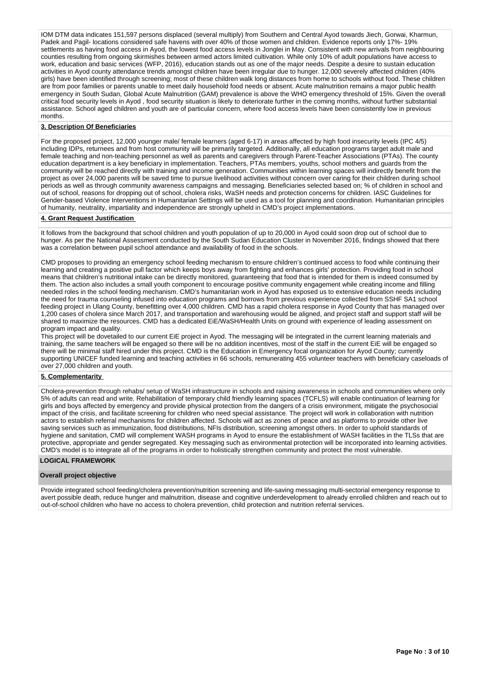IOM DTM data indicates 151,597 persons displaced (several multiply) from Southern and Central Ayod towards Jiech, Gorwai, Kharmun, Padek and Pagil- locations considered safe havens with over 40% of those women and children. Evidence reports only 17%- 19% settlements as having food access in Ayod, the lowest food access levels in Jonglei in May. Consistent with new arrivals from neighbouring counties resulting from ongoing skirmishes between armed actors limited cultivation. While only 10% of adult populations have access to work, education and basic services (WFP, 2016), education stands out as one of the major needs. Despite a desire to sustain education activities in Ayod county attendance trends amongst children have been irregular due to hunger. 12,000 severely affected children (40% girls) have been identified through screening; most of these children walk long distances from home to schools without food. These children are from poor families or parents unable to meet daily household food needs or absent. Acute malnutrition remains a major public health emergency in South Sudan, Global Acute Malnutrition (GAM) prevalence is above the WHO emergency threshold of 15%. Given the overall critical food security levels in Ayod , food security situation is likely to deteriorate further in the coming months, without further substantial assistance. School aged children and youth are of particular concern, where food access levels have been consistently low in previous months.

## **3. Description Of Beneficiaries**

For the proposed project, 12,000 younger male/ female learners (aged 6-17) in areas affected by high food insecurity levels (IPC 4/5) including IDPs, returnees and from host community will be primarily targeted. Additionally, all education programs target adult male and female teaching and non-teaching personnel as well as parents and caregivers through Parent-Teacher Associations (PTAs). The county education department is a key beneficiary in implementation. Teachers, PTAs members, youths, school mothers and guards from the community will be reached directly with training and income generation. Communities within learning spaces will indirectly benefit from the project as over 24,000 parents will be saved time to pursue livelihood activities without concern over caring for their children during school periods as well as through community awareness campaigns and messaging. Beneficiaries selected based on; % of children in school and out of school, reasons for dropping out of school, cholera risks, WaSH needs and protection concerns for children. IASC Guidelines for Gender-based Violence Interventions in Humanitarian Settings will be used as a tool for planning and coordination. Humanitarian principles of humanity, neutrality, impartiality and independence are strongly upheld in CMD's project implementations.

#### **4. Grant Request Justification**

It follows from the background that school children and youth population of up to 20,000 in Ayod could soon drop out of school due to hunger. As per the National Assessment conducted by the South Sudan Education Cluster in November 2016, findings showed that there was a correlation between pupil school attendance and availability of food in the schools.

CMD proposes to providing an emergency school feeding mechanism to ensure children's continued access to food while continuing their learning and creating a positive pull factor which keeps boys away from fighting and enhances girls' protection. Providing food in school means that children's nutritional intake can be directly monitored, guaranteeing that food that is intended for them is indeed consumed by them. The action also includes a small youth component to encourage positive community engagement while creating income and filling needed roles in the school feeding mechanism. CMD's humanitarian work in Ayod has exposed us to extensive education needs including the need for trauma counseling infused into education programs and borrows from previous experience collected from SSHF SA1 school feeding project in Ulang County, benefitting over 4,000 children. CMD has a rapid cholera response in Ayod County that has managed over 1,200 cases of cholera since March 2017, and transportation and warehousing would be aligned, and project staff and support staff will be shared to maximize the resources. CMD has a dedicated EiE/WaSH/Health Units on ground with experience of leading assessment on program impact and quality.

This project will be dovetailed to our current EiE project in Ayod. The messaging will be integrated in the current learning materials and training, the same teachers will be engaged so there will be no addition incentives, most of the staff in the current EiE will be engaged so there will be minimal staff hired under this project. CMD is the Education in Emergency focal organization for Ayod County; currently supporting UNICEF funded learning and teaching activities in 66 schools, remunerating 455 volunteer teachers with beneficiary caseloads of over 27,000 children and youth.

#### **5. Complementarity**

Cholera-prevention through rehabs/ setup of WaSH infrastructure in schools and raising awareness in schools and communities where only 5% of adults can read and write. Rehabilitation of temporary child friendly learning spaces (TCFLS) will enable continuation of learning for girls and boys affected by emergency and provide physical protection from the dangers of a crisis environment, mitigate the psychosocial impact of the crisis, and facilitate screening for children who need special assistance. The project will work in collaboration with nutrition actors to establish referral mechanisms for children affected. Schools will act as zones of peace and as platforms to provide other live saving services such as immunization, food distributions, NFIs distribution, screening amongst others. In order to uphold standards of hygiene and sanitation, CMD will complement WASH programs in Ayod to ensure the establishment of WASH facilities in the TLSs that are protective, appropriate and gender segregated. Key messaging such as environmental protection will be incorporated into learning activities. CMD's model is to integrate all of the programs in order to holistically strengthen community and protect the most vulnerable.

# **LOGICAL FRAMEWORK**

#### **Overall project objective**

Provide integrated school feeding/cholera prevention/nutrition screening and life-saving messaging multi-sectorial emergency response to avert possible death, reduce hunger and malnutrition, disease and cognitive underdevelopment to already enrolled children and reach out to out-of-school children who have no access to cholera prevention, child protection and nutrition referral services.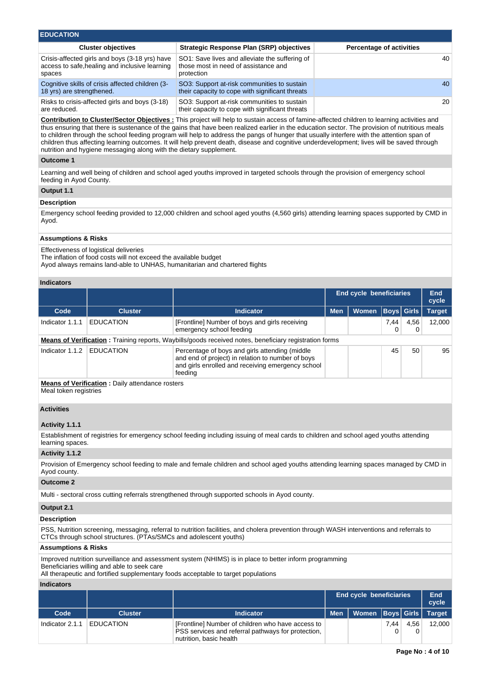| <b>EDUCATION</b>                                                                                           |                                                                                                      |                                 |  |  |  |  |  |  |  |  |  |
|------------------------------------------------------------------------------------------------------------|------------------------------------------------------------------------------------------------------|---------------------------------|--|--|--|--|--|--|--|--|--|
| <b>Cluster objectives</b>                                                                                  | <b>Strategic Response Plan (SRP) objectives</b>                                                      | <b>Percentage of activities</b> |  |  |  |  |  |  |  |  |  |
| Crisis-affected girls and boys (3-18 yrs) have<br>access to safe, healing and inclusive learning<br>spaces | SO1: Save lives and alleviate the suffering of<br>those most in need of assistance and<br>protection | 40                              |  |  |  |  |  |  |  |  |  |
| Cognitive skills of crisis affected children (3-<br>18 yrs) are strengthened.                              | SO3: Support at-risk communities to sustain<br>their capacity to cope with significant threats       | 40                              |  |  |  |  |  |  |  |  |  |
| Risks to crisis-affected girls and boys (3-18)<br>are reduced.                                             | SO3: Support at-risk communities to sustain<br>their capacity to cope with significant threats       | 20                              |  |  |  |  |  |  |  |  |  |

**Contribution to Cluster/Sector Objectives :** This project will help to sustain access of famine-affected children to learning activities and thus ensuring that there is sustenance of the gains that have been realized earlier in the education sector. The provision of nutritious meals to children through the school feeding program will help to address the pangs of hunger that usually interfere with the attention span of children thus affecting learning outcomes. It will help prevent death, disease and cognitive underdevelopment; lives will be saved through nutrition and hygiene messaging along with the dietary supplement.

## **Outcome 1**

Learning and well being of children and school aged youths improved in targeted schools through the provision of emergency school feeding in Ayod County.

### **Output 1.1**

## **Description**

Emergency school feeding provided to 12,000 children and school aged youths (4,560 girls) attending learning spaces supported by CMD in Ayod.

#### **Assumptions & Risks**

Effectiveness of logistical deliveries

The inflation of food costs will not exceed the available budget

Ayod always remains land-able to UNHAS, humanitarian and chartered flights

### **Indicators**

|                 |                                                         |                                                                                                                                                                      | End cycle beneficiaries |              |      |                   | <b>End</b><br>cycle |
|-----------------|---------------------------------------------------------|----------------------------------------------------------------------------------------------------------------------------------------------------------------------|-------------------------|--------------|------|-------------------|---------------------|
| Code            | <b>Cluster</b>                                          | <b>Indicator</b>                                                                                                                                                     | <b>Men</b>              | <b>Women</b> |      | <b>Boys Girls</b> | <b>Target</b>       |
| Indicator 1.1.1 | <b>EDUCATION</b>                                        | [Frontline] Number of boys and girls receiving<br>emergency school feeding                                                                                           |                         |              | 7,44 | 4,56<br>0         | 12.000              |
|                 |                                                         | <b>Means of Verification:</b> Training reports, Waybills/goods received notes, beneficiary registration forms                                                        |                         |              |      |                   |                     |
| Indicator 1.1.2 | <b>EDUCATION</b>                                        | Percentage of boys and girls attending (middle)<br>and end of project) in relation to number of boys<br>and girls enrolled and receiving emergency school<br>feeding |                         |              | 45   | 50                | 95                  |
|                 | <b>Means of Verification</b> : Daily attendance rosters |                                                                                                                                                                      |                         |              |      |                   |                     |

Meal token registries

# **Activities**

## **Activity 1.1.1**

Establishment of registries for emergency school feeding including issuing of meal cards to children and school aged youths attending learning spaces.

#### **Activity 1.1.2**

Provision of Emergency school feeding to male and female children and school aged youths attending learning spaces managed by CMD in Ayod county.

#### **Outcome 2**

Multi - sectoral cross cutting referrals strengthened through supported schools in Ayod county.

### **Output 2.1**

#### **Description**

PSS, Nutrition screening, messaging, referral to nutrition facilities, and cholera prevention through WASH interventions and referrals to CTCs through school structures. (PTAs/SMCs and adolescent youths)

## **Assumptions & Risks**

Improved nutrition surveillance and assessment system (NHIMS) is in place to better inform programming

Beneficiaries willing and able to seek care

All therapeutic and fortified supplementary foods acceptable to target populations

### **Indicators**

|                 |                  |                                                                                                                                    | <b>End cycle beneficiaries</b> |                               |      |      | End<br>cycle |
|-----------------|------------------|------------------------------------------------------------------------------------------------------------------------------------|--------------------------------|-------------------------------|------|------|--------------|
| Code            | <b>Cluster</b>   | <b>Indicator</b>                                                                                                                   | <b>Men</b>                     | Women   Boys   Girls   Target |      |      |              |
| Indicator 2.1.1 | <b>EDUCATION</b> | [Frontline] Number of children who have access to<br>PSS services and referral pathways for protection.<br>nutrition, basic health |                                |                               | 7.44 | 4.56 | 12.000       |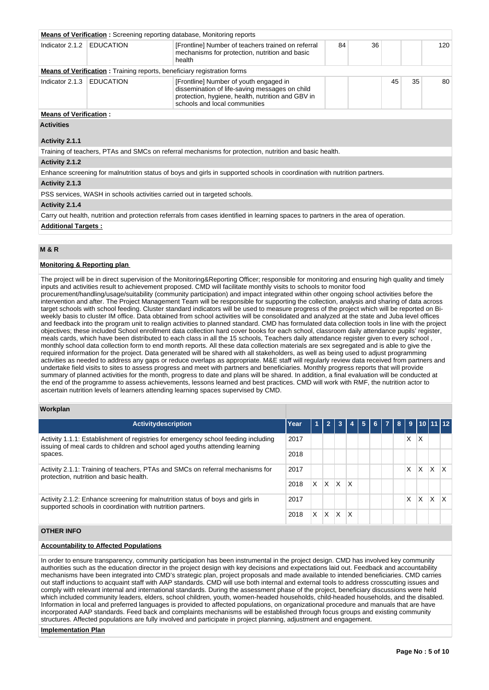|                               | <b>Means of Verification:</b> Screening reporting database, Monitoring reports |                                                                                                                                                                                |    |    |    |    |     |
|-------------------------------|--------------------------------------------------------------------------------|--------------------------------------------------------------------------------------------------------------------------------------------------------------------------------|----|----|----|----|-----|
| Indicator 2.1.2               | <b>EDUCATION</b>                                                               | [Frontline] Number of teachers trained on referral<br>mechanisms for protection, nutrition and basic<br>health                                                                 | 84 | 36 |    |    | 120 |
|                               | <b>Means of Verification:</b> Training reports, beneficiary registration forms |                                                                                                                                                                                |    |    |    |    |     |
| Indicator 2.1.3               | <b>EDUCATION</b>                                                               | [Frontline] Number of youth engaged in<br>dissemination of life-saving messages on child<br>protection, hygiene, health, nutrition and GBV in<br>schools and local communities |    |    | 45 | 35 | 80  |
| <b>Means of Verification:</b> |                                                                                |                                                                                                                                                                                |    |    |    |    |     |
| <b>Activities</b>             |                                                                                |                                                                                                                                                                                |    |    |    |    |     |
| Activity 2.1.1                |                                                                                |                                                                                                                                                                                |    |    |    |    |     |
|                               |                                                                                | Training of teachers, PTAs and SMCs on referral mechanisms for protection, nutrition and basic health.                                                                         |    |    |    |    |     |
| Activity 2.1.2                |                                                                                |                                                                                                                                                                                |    |    |    |    |     |
|                               |                                                                                | Enhance screening for malnutrition status of boys and girls in supported schools in coordination with nutrition partners.                                                      |    |    |    |    |     |
| Activity 2.1.3                |                                                                                |                                                                                                                                                                                |    |    |    |    |     |
|                               | PSS services, WASH in schools activities carried out in targeted schools.      |                                                                                                                                                                                |    |    |    |    |     |
| Activity 2.1.4                |                                                                                |                                                                                                                                                                                |    |    |    |    |     |
|                               |                                                                                | Carry out health, nutrition and protection referrals from cases identified in learning spaces to partners in the area of operation.                                            |    |    |    |    |     |

#### **Additional Targets :**

# **M & R**

## **Monitoring & Reporting plan**

The project will be in direct supervision of the Monitoring&Reporting Officer; responsible for monitoring and ensuring high quality and timely inputs and activities result to achievement proposed. CMD will facilitate monthly visits to schools to monitor food procurement/handling/usage/suitability (community participation) and impact integrated within other ongoing school activities before the intervention and after. The Project Management Team will be responsible for supporting the collection, analysis and sharing of data across target schools with school feeding. Cluster standard indicators will be used to measure progress of the project which will be reported on Biweekly basis to cluster IM office. Data obtained from school activities will be consolidated and analyzed at the state and Juba level offices and feedback into the program unit to realign activities to planned standard. CMD has formulated data collection tools in line with the project objectives; these included School enrollment data collection hard cover books for each school, classroom daily attendance pupils' register, meals cards, which have been distributed to each class in all the 15 schools, Teachers daily attendance register given to every school , monthly school data collection form to end month reports. All these data collection materials are sex segregated and is able to give the required information for the project. Data generated will be shared with all stakeholders, as well as being used to adjust programming activities as needed to address any gaps or reduce overlaps as appropriate. M&E staff will regularly review data received from partners and undertake field visits to sites to assess progress and meet with partners and beneficiaries. Monthly progress reports that will provide summary of planned activities for the month, progress to date and plans will be shared. In addition, a final evaluation will be conducted at the end of the programme to assess achievements, lessons learned and best practices. CMD will work with RMF, the nutrition actor to ascertain nutrition levels of learners attending learning spaces supervised by CMD.

#### **Workplan**

| <b>Activitydescription</b>                                                                                                                                        | Year | 4  | $\overline{2}$ | 3            |              | 5 | 6 7 8 1 |   |   |   | $9$ 10 11 12 |
|-------------------------------------------------------------------------------------------------------------------------------------------------------------------|------|----|----------------|--------------|--------------|---|---------|---|---|---|--------------|
| Activity 1.1.1: Establishment of registries for emergency school feeding including<br>issuing of meal cards to children and school aged youths attending learning | 2017 |    |                |              |              |   |         | х | X |   |              |
| spaces.                                                                                                                                                           |      |    |                |              |              |   |         |   |   |   |              |
| Activity 2.1.1: Training of teachers, PTAs and SMCs on referral mechanisms for<br>protection, nutrition and basic health.                                         | 2017 |    |                |              |              |   |         | X | X | X | l X          |
|                                                                                                                                                                   | 2018 | X. | ΙX.            | <sup>X</sup> | $\mathsf{x}$ |   |         |   |   |   |              |
| Activity 2.1.2: Enhance screening for malnutrition status of boys and girls in<br>supported schools in coordination with nutrition partners.                      |      |    |                |              |              |   |         | X | X | X | x            |
|                                                                                                                                                                   | 2018 | X. | X              | X            | x            |   |         |   |   |   |              |

## **OTHER INFO**

### **Accountability to Affected Populations**

In order to ensure transparency, community participation has been instrumental in the project design. CMD has involved key community authorities such as the education director in the project design with key decisions and expectations laid out. Feedback and accountability mechanisms have been integrated into CMD's strategic plan, project proposals and made available to intended beneficiaries. CMD carries out staff inductions to acquaint staff with AAP standards. CMD will use both internal and external tools to address crosscutting issues and comply with relevant internal and international standards. During the assessment phase of the project, beneficiary discussions were held which included community leaders, elders, school children, youth, women-headed households, child-headed households, and the disabled. Information in local and preferred languages is provided to affected populations, on organizational procedure and manuals that are have incorporated AAP standards. Feed back and complaints mechanisms will be established through focus groups and existing community structures. Affected populations are fully involved and participate in project planning, adjustment and engagement.

#### **Implementation Plan**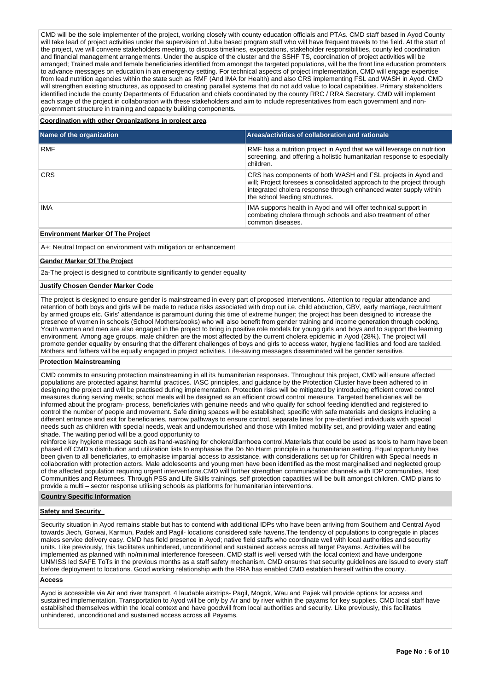CMD will be the sole implementer of the project, working closely with county education officials and PTAs. CMD staff based in Ayod County will take lead of project activities under the supervision of Juba based program staff who will have frequent travels to the field. At the start of the project, we will convene stakeholders meeting, to discuss timelines, expectations, stakeholder responsibilities, county led coordination and financial management arrangements. Under the auspice of the cluster and the SSHF TS, coordination of project activities will be arranged; Trained male and female beneficiaries identified from amongst the targeted populations, will be the front line education promoters to advance messages on education in an emergency setting. For technical aspects of project implementation, CMD will engage expertise from lead nutrition agencies within the state such as RMF (And IMA for Health) and also CRS implementing FSL and WASH in Ayod. CMD will strengthen existing structures, as opposed to creating parallel systems that do not add value to local capabilities. Primary stakeholders identified include the county Departments of Education and chiefs coordinated by the county RRC / RRA Secretary. CMD will implement each stage of the project in collaboration with these stakeholders and aim to include representatives from each government and nongovernment structure in training and capacity building components.

## **Coordination with other Organizations in project area**

| Name of the organization | Areas/activities of collaboration and rationale                                                                                                                                                                                             |
|--------------------------|---------------------------------------------------------------------------------------------------------------------------------------------------------------------------------------------------------------------------------------------|
| <b>RMF</b>               | RMF has a nutrition project in Ayod that we will leverage on nutrition<br>screening, and offering a holistic humanitarian response to especially<br>children.                                                                               |
| <b>CRS</b>               | CRS has components of both WASH and FSL projects in Ayod and<br>will; Project foresees a consolidated approach to the project through<br>integrated cholera response through enhanced water supply within<br>the school feeding structures. |
| IMA                      | IMA supports health in Ayod and will offer technical support in<br>combating cholera through schools and also treatment of other<br>common diseases.                                                                                        |

## **Environment Marker Of The Project**

A+: Neutral Impact on environment with mitigation or enhancement

#### **Gender Marker Of The Project**

2a-The project is designed to contribute significantly to gender equality

#### **Justify Chosen Gender Marker Code**

The project is designed to ensure gender is mainstreamed in every part of proposed interventions. Attention to regular attendance and retention of both boys and girls will be made to reduce risks associated with drop out i.e. child abduction, GBV, early marriage, recruitment by armed groups etc. Girls' attendance is paramount during this time of extreme hunger; the project has been designed to increase the presence of women in schools (School Mothers/cooks) who will also benefit from gender training and income generation through cooking. Youth women and men are also engaged in the project to bring in positive role models for young girls and boys and to support the learning environment. Among age groups, male children are the most affected by the current cholera epidemic in Ayod (28%). The project will promote gender equality by ensuring that the different challenges of boys and girls to access water, hygiene facilities and food are tackled. Mothers and fathers will be equally engaged in project activities. Life-saving messages disseminated will be gender sensitive.

#### **Protection Mainstreaming**

CMD commits to ensuring protection mainstreaming in all its humanitarian responses. Throughout this project, CMD will ensure affected populations are protected against harmful practices. IASC principles, and guidance by the Protection Cluster have been adhered to in designing the project and will be practised during implementation. Protection risks will be mitigated by introducing efficient crowd control measures during serving meals; school meals will be designed as an efficient crowd control measure. Targeted beneficiaries will be informed about the program- process, beneficiaries with genuine needs and who qualify for school feeding identified and registered to control the number of people and movement. Safe dining spaces will be established; specific with safe materials and designs including a different entrance and exit for beneficiaries, narrow pathways to ensure control, separate lines for pre-identified individuals with special needs such as children with special needs, weak and undernourished and those with limited mobility set, and providing water and eating shade. The waiting period will be a good opportunity to

reinforce key hygiene message such as hand-washing for cholera/diarrhoea control.Materials that could be used as tools to harm have been phased off CMD's distribution and utilization lists to emphasise the Do No Harm principle in a humanitarian setting. Equal opportunity has been given to all beneficiaries, to emphasise impartial access to assistance, with considerations set up for Children with Special needs in collaboration with protection actors. Male adolescents and young men have been identified as the most marginalised and neglected group of the affected population requiring urgent interventions.CMD will further strengthen communication channels with IDP communities, Host Communities and Returnees. Through PSS and Life Skills trainings, self protection capacities will be built amongst children. CMD plans to provide a multi – sector response utilising schools as platforms for humanitarian interventions.

#### **Country Specific Information**

#### **Safety and Security**

Security situation in Ayod remains stable but has to contend with additional IDPs who have been arriving from Southern and Central Ayod towards Jiech, Gorwai, Karmun, Padek and Pagil- locations considered safe havens.The tendency of populations to congregate in places makes service delivery easy. CMD has field presence in Ayod; native field staffs who coordinate well with local authorities and security units. Like previously, this facilitates unhindered, unconditional and sustained access across all target Payams. Activities will be implemented as planned with no/minimal interference foreseen. CMD staff is well versed with the local context and have undergone UNMISS led SAFE ToTs in the previous months as a staff safety mechanism. CMD ensures that security guidelines are issued to every staff before deployment to locations. Good working relationship with the RRA has enabled CMD establish herself within the county.

#### **Access**

Ayod is accessible via Air and river transport. 4 laudable airstrips- Pagil, Mogok, Wau and Pajiek will provide options for access and sustained implementation. Transportation to Ayod will be only by Air and by river within the payams for key supplies. CMD local staff have established themselves within the local context and have goodwill from local authorities and security. Like previously, this facilitates unhindered, unconditional and sustained access across all Payams.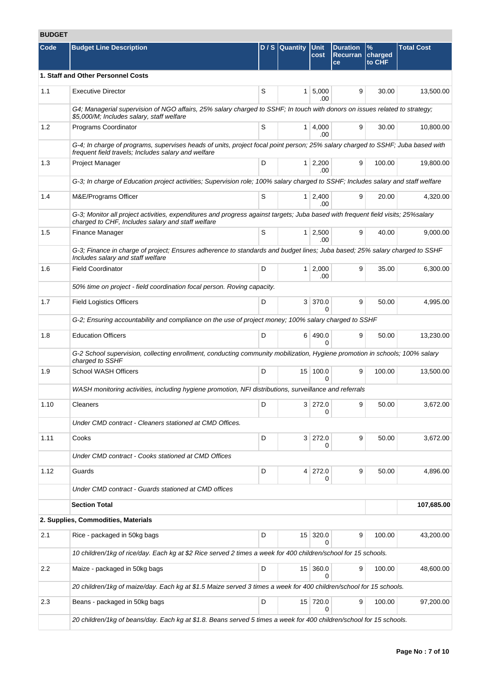# **BUDGET**

| Code | <b>Budget Line Description</b>                                                                                                                                                        |   | $D/S$ Quantity | <b>Unit</b><br>cost      | <b>Duration</b><br><b>Recurran</b><br>ce | $\%$<br>charged<br>to CHF | <b>Total Cost</b> |
|------|---------------------------------------------------------------------------------------------------------------------------------------------------------------------------------------|---|----------------|--------------------------|------------------------------------------|---------------------------|-------------------|
|      | 1. Staff and Other Personnel Costs                                                                                                                                                    |   |                |                          |                                          |                           |                   |
| 1.1  | <b>Executive Director</b>                                                                                                                                                             | S | 1              | 5,000<br>.00             | 9                                        | 30.00                     | 13,500.00         |
|      | G4; Managerial supervision of NGO affairs, 25% salary charged to SSHF; In touch with donors on issues related to strategy;<br>\$5,000/M; Includes salary, staff welfare               |   |                |                          |                                          |                           |                   |
| 1.2  | Programs Coordinator                                                                                                                                                                  | S |                | 1   4,000<br>.00         | 9                                        | 30.00                     | 10,800.00         |
|      | G-4; In charge of programs, supervises heads of units, project focal point person; 25% salary charged to SSHF; Juba based with<br>frequent field travels; Includes salary and welfare |   |                |                          |                                          |                           |                   |
| 1.3  | Project Manager                                                                                                                                                                       | D |                | $1 \mid 2,200$<br>.00    | 9                                        | 100.00                    | 19,800.00         |
|      | G-3; In charge of Education project activities; Supervision role; 100% salary charged to SSHF; Includes salary and staff welfare                                                      |   |                |                          |                                          |                           |                   |
| 1.4  | M&E/Programs Officer                                                                                                                                                                  | S |                | 1 2,400<br>.00           | 9                                        | 20.00                     | 4,320.00          |
|      | G-3; Monitor all project activities, expenditures and progress against targets; Juba based with frequent field visits; 25%salary<br>charged to CHF, Includes salary and staff welfare |   |                |                          |                                          |                           |                   |
| 1.5  | Finance Manager                                                                                                                                                                       | S |                | 1 2,500<br>.00           | 9                                        | 40.00                     | 9,000.00          |
|      | G-3; Finance in charge of project; Ensures adherence to standards and budget lines; Juba based; 25% salary charged to SSHF<br>Includes salary and staff welfare                       |   |                |                          |                                          |                           |                   |
| 1.6  | <b>Field Coordinator</b>                                                                                                                                                              | D |                | $1 \mid 2,000$<br>.00    | 9                                        | 35.00                     | 6,300.00          |
|      | 50% time on project - field coordination focal person. Roving capacity.                                                                                                               |   |                |                          |                                          |                           |                   |
| 1.7  | <b>Field Logistics Officers</b>                                                                                                                                                       | D |                | 3 370.0                  | 9                                        | 50.00                     | 4,995.00          |
|      | G-2; Ensuring accountability and compliance on the use of project money; 100% salary charged to SSHF                                                                                  |   |                |                          |                                          |                           |                   |
| 1.8  | <b>Education Officers</b>                                                                                                                                                             | D |                | 6 490.0<br><sup>0</sup>  | 9                                        | 50.00                     | 13,230.00         |
|      | G-2 School supervision, collecting enrollment, conducting community mobilization, Hygiene promotion in schools; 100% salary<br>charged to SSHF                                        |   |                |                          |                                          |                           |                   |
| 1.9  | <b>School WASH Officers</b>                                                                                                                                                           | D |                | 15 100.0                 | 9                                        | 100.00                    | 13,500.00         |
|      | WASH monitoring activities, including hygiene promotion, NFI distributions, surveillance and referrals                                                                                |   |                |                          |                                          |                           |                   |
| 1.10 | Cleaners                                                                                                                                                                              | D |                | 3 272.0<br>0             | 9                                        | 50.00                     | 3,672.00          |
|      | Under CMD contract - Cleaners stationed at CMD Offices.                                                                                                                               |   |                |                          |                                          |                           |                   |
| 1.11 | Cooks                                                                                                                                                                                 | D |                | 3 272.0<br>0             | 9                                        | 50.00                     | 3,672.00          |
|      | Under CMD contract - Cooks stationed at CMD Offices                                                                                                                                   |   |                |                          |                                          |                           |                   |
| 1.12 | Guards                                                                                                                                                                                | D |                | 4 272.0<br>0             | 9                                        | 50.00                     | 4,896.00          |
|      | Under CMD contract - Guards stationed at CMD offices                                                                                                                                  |   |                |                          |                                          |                           |                   |
|      | <b>Section Total</b>                                                                                                                                                                  |   |                |                          |                                          |                           | 107,685.00        |
|      | 2. Supplies, Commodities, Materials                                                                                                                                                   |   |                |                          |                                          |                           |                   |
| 2.1  | Rice - packaged in 50kg bags                                                                                                                                                          | D |                | 15 320.0<br><sup>0</sup> | 9                                        | 100.00                    | 43,200.00         |
|      | 10 children/1kg of rice/day. Each kg at \$2 Rice served 2 times a week for 400 children/school for 15 schools.                                                                        |   |                |                          |                                          |                           |                   |
| 2.2  | Maize - packaged in 50kg bags                                                                                                                                                         | D |                | 15 360.0                 | 9                                        | 100.00                    | 48,600.00         |
|      | 20 children/1kg of maize/day. Each kg at \$1.5 Maize served 3 times a week for 400 children/school for 15 schools.                                                                    |   |                |                          |                                          |                           |                   |
| 2.3  | Beans - packaged in 50kg bags                                                                                                                                                         | D |                | 15 720.0                 | 9                                        | 100.00                    | 97,200.00         |
|      | 20 children/1kg of beans/day. Each kg at \$1.8. Beans served 5 times a week for 400 children/school for 15 schools.                                                                   |   |                |                          |                                          |                           |                   |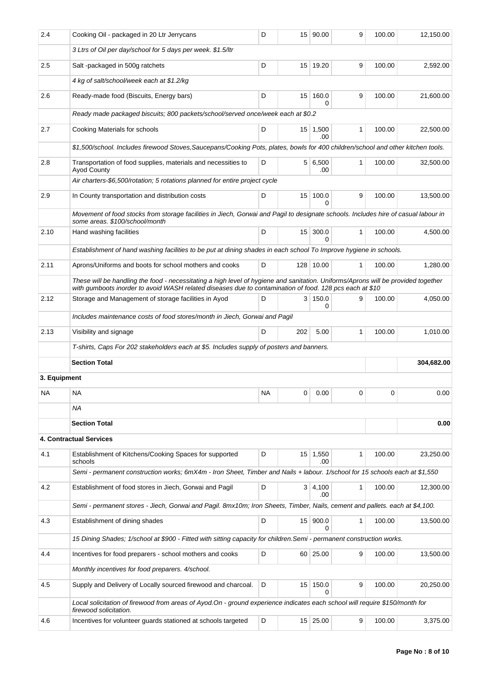| 2.4          | Cooking Oil - packaged in 20 Ltr Jerrycans                                                                                                                                                                                                   | D                                                                                                                                |                 | 15 90.00               | 9 | 100.00   | 12,150.00  |  |
|--------------|----------------------------------------------------------------------------------------------------------------------------------------------------------------------------------------------------------------------------------------------|----------------------------------------------------------------------------------------------------------------------------------|-----------------|------------------------|---|----------|------------|--|
|              | 3 Ltrs of Oil per day/school for 5 days per week. \$1.5/ltr                                                                                                                                                                                  |                                                                                                                                  |                 |                        |   |          |            |  |
| 2.5          | Salt-packaged in 500g ratchets                                                                                                                                                                                                               | D                                                                                                                                |                 | 15 19.20               | 9 | 100.00   | 2,592.00   |  |
|              | 4 kg of salt/school/week each at \$1.2/kg                                                                                                                                                                                                    |                                                                                                                                  |                 |                        |   |          |            |  |
| 2.6          | Ready-made food (Biscuits, Energy bars)                                                                                                                                                                                                      | D                                                                                                                                | 15 <sup>1</sup> | 160.0<br>0             | 9 | 100.00   | 21,600.00  |  |
|              | Ready made packaged biscuits; 800 packets/school/served once/week each at \$0.2                                                                                                                                                              |                                                                                                                                  |                 |                        |   |          |            |  |
| 2.7          | Cooking Materials for schools                                                                                                                                                                                                                | D                                                                                                                                |                 | $15 \mid 1,500$<br>.00 | 1 | 100.00   | 22,500.00  |  |
|              |                                                                                                                                                                                                                                              | \$1,500/school. Includes firewood Stoves, Saucepans/Cooking Pots, plates, bowls for 400 children/school and other kitchen tools. |                 |                        |   |          |            |  |
| 2.8          | Transportation of food supplies, materials and necessities to<br><b>Ayod County</b>                                                                                                                                                          | D                                                                                                                                |                 | 5 6,500<br>.00         | 1 | 100.00   | 32,500.00  |  |
|              | Air charters-\$6,500/rotation; 5 rotations planned for entire project cycle                                                                                                                                                                  |                                                                                                                                  |                 |                        |   |          |            |  |
| 2.9          | In County transportation and distribution costs                                                                                                                                                                                              | D                                                                                                                                | 15              | 100.0<br>$\Omega$      | 9 | 100.00   | 13,500.00  |  |
|              | Movement of food stocks from storage facilities in Jiech, Gorwai and Pagil to designate schools. Includes hire of casual labour in<br>some areas. \$100/school/month                                                                         |                                                                                                                                  |                 |                        |   |          |            |  |
| 2.10         | Hand washing facilities                                                                                                                                                                                                                      |                                                                                                                                  |                 | 15 300.0               | 1 | 100.00   | 4,500.00   |  |
|              | Establishment of hand washing facilities to be put at dining shades in each school To Improve hygiene in schools.                                                                                                                            |                                                                                                                                  |                 |                        |   |          |            |  |
| 2.11         | Aprons/Uniforms and boots for school mothers and cooks                                                                                                                                                                                       | D                                                                                                                                |                 | 128 10.00              | 1 | 100.00   | 1,280.00   |  |
|              | These will be handling the food - necessitating a high level of hygiene and sanitation. Uniforms/Aprons will be provided together<br>with gumboots inorder to avoid WASH related diseases due to contamination of food. 128 pcs each at \$10 |                                                                                                                                  |                 |                        |   |          |            |  |
| 2.12         | Storage and Management of storage facilities in Ayod                                                                                                                                                                                         | D                                                                                                                                | 3 I             | 150.0<br>0             | 9 | 100.00   | 4,050.00   |  |
|              | Includes maintenance costs of food stores/month in Jiech, Gorwai and Pagil                                                                                                                                                                   |                                                                                                                                  |                 |                        |   |          |            |  |
| 2.13         | Visibility and signage                                                                                                                                                                                                                       | D                                                                                                                                | 202             | 5.00                   | 1 | 100.00   | 1,010.00   |  |
|              | T-shirts, Caps For 202 stakeholders each at \$5. Includes supply of posters and banners.                                                                                                                                                     |                                                                                                                                  |                 |                        |   |          |            |  |
|              | <b>Section Total</b>                                                                                                                                                                                                                         |                                                                                                                                  |                 |                        |   |          | 304,682.00 |  |
| 3. Equipment |                                                                                                                                                                                                                                              |                                                                                                                                  |                 |                        |   |          |            |  |
| NA           | NА                                                                                                                                                                                                                                           | <b>NA</b>                                                                                                                        | 0               | 0.00                   | 0 | $\Omega$ | 0.00       |  |
|              | ΝA                                                                                                                                                                                                                                           |                                                                                                                                  |                 |                        |   |          |            |  |
|              | <b>Section Total</b>                                                                                                                                                                                                                         |                                                                                                                                  |                 |                        |   |          | 0.00       |  |
|              | 4. Contractual Services                                                                                                                                                                                                                      |                                                                                                                                  |                 |                        |   |          |            |  |
| 4.1          | Establishment of Kitchens/Cooking Spaces for supported<br>schools                                                                                                                                                                            | D                                                                                                                                |                 | $15 \mid 1,550$<br>.00 | 1 | 100.00   | 23,250.00  |  |
|              | Semi - permanent construction works; 6mX4m - Iron Sheet, Timber and Nails + labour. 1/school for 15 schools each at \$1,550                                                                                                                  |                                                                                                                                  |                 |                        |   |          |            |  |
| 4.2          | Establishment of food stores in Jiech, Gorwai and Pagil                                                                                                                                                                                      | D                                                                                                                                |                 | 3   4,100<br>.00       | 1 | 100.00   | 12,300.00  |  |
|              | Semi - permanent stores - Jiech, Gorwai and Pagil. 8mx10m; Iron Sheets, Timber, Nails, cement and pallets. each at \$4,100.                                                                                                                  |                                                                                                                                  |                 |                        |   |          |            |  |
| 4.3          | Establishment of dining shades                                                                                                                                                                                                               | D                                                                                                                                |                 | 15 900.0<br>0          | 1 | 100.00   | 13,500.00  |  |
|              | 15 Dining Shades; 1/school at \$900 - Fitted with sitting capacity for children.Semi - permanent construction works.                                                                                                                         |                                                                                                                                  |                 |                        |   |          |            |  |
| 4.4          | Incentives for food preparers - school mothers and cooks                                                                                                                                                                                     | D                                                                                                                                |                 | 60 25.00               | 9 | 100.00   | 13,500.00  |  |
|              | Monthly incentives for food preparers. 4/school.                                                                                                                                                                                             |                                                                                                                                  |                 |                        |   |          |            |  |
| 4.5          |                                                                                                                                                                                                                                              |                                                                                                                                  |                 |                        |   |          |            |  |
|              | Supply and Delivery of Locally sourced firewood and charcoal.                                                                                                                                                                                | D                                                                                                                                | 15 <sup>1</sup> | 150.0<br><sup>0</sup>  | 9 | 100.00   | 20,250.00  |  |
|              | Local solicitation of firewood from areas of Ayod.On - ground experience indicates each school will require \$150/month for<br>firewood solicitation.                                                                                        |                                                                                                                                  |                 |                        |   |          |            |  |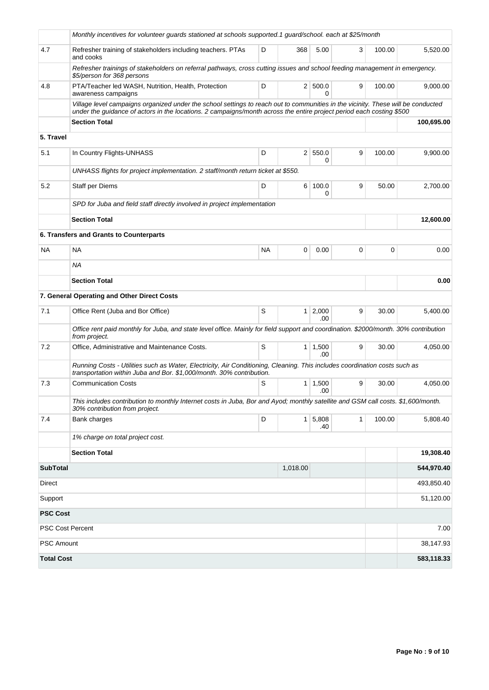|                         | Monthly incentives for volunteer guards stationed at schools supported.1 guard/school. each at \$25/month                                                                                                                                                |    |                |                       |              |        |            |  |
|-------------------------|----------------------------------------------------------------------------------------------------------------------------------------------------------------------------------------------------------------------------------------------------------|----|----------------|-----------------------|--------------|--------|------------|--|
| 4.7                     | 3<br>Refresher training of stakeholders including teachers. PTAs<br>D<br>368<br>5.00<br>100.00<br>and cooks                                                                                                                                              |    |                |                       |              |        | 5,520.00   |  |
|                         | Refresher trainings of stakeholders on referral pathways, cross cutting issues and school feeding management in emergency.<br>\$5/person for 368 persons                                                                                                 |    |                |                       |              |        |            |  |
| 4.8                     | PTA/Teacher led WASH, Nutrition, Health, Protection<br>awareness campaigns                                                                                                                                                                               | D  |                | 2   500.0<br>O        | 9            | 100.00 | 9,000.00   |  |
|                         | Village level campaigns organized under the school settings to reach out to communities in the vicinity. These will be conducted<br>under the quidance of actors in the locations. 2 campaigns/month across the entire project period each costing \$500 |    |                |                       |              |        |            |  |
|                         | <b>Section Total</b>                                                                                                                                                                                                                                     |    |                |                       |              |        | 100,695.00 |  |
| 5. Travel               |                                                                                                                                                                                                                                                          |    |                |                       |              |        |            |  |
| 5.1                     | In Country Flights-UNHASS                                                                                                                                                                                                                                | D  |                | 2   550.0<br>0        | 9            | 100.00 | 9,900.00   |  |
|                         | UNHASS flights for project implementation. 2 staff/month return ticket at \$550.                                                                                                                                                                         |    |                |                       |              |        |            |  |
| 5.2                     | Staff per Diems                                                                                                                                                                                                                                          | D  |                | 6 100.0<br>0          | 9            | 50.00  | 2,700.00   |  |
|                         | SPD for Juba and field staff directly involved in project implementation                                                                                                                                                                                 |    |                |                       |              |        |            |  |
|                         | <b>Section Total</b>                                                                                                                                                                                                                                     |    | 12,600.00      |                       |              |        |            |  |
|                         | 6. Transfers and Grants to Counterparts                                                                                                                                                                                                                  |    |                |                       |              |        |            |  |
| <b>NA</b>               | <b>NA</b>                                                                                                                                                                                                                                                | NA | 0              | 0.00                  | 0            | 0      | 0.00       |  |
|                         | ΝA                                                                                                                                                                                                                                                       |    |                |                       |              |        |            |  |
|                         | <b>Section Total</b>                                                                                                                                                                                                                                     |    |                |                       |              |        | 0.00       |  |
|                         | 7. General Operating and Other Direct Costs                                                                                                                                                                                                              |    |                |                       |              |        |            |  |
| 7.1                     | Office Rent (Juba and Bor Office)                                                                                                                                                                                                                        | S  | 1 <sup>1</sup> | 2,000<br>.00.         | 9            | 30.00  | 5,400.00   |  |
|                         | Office rent paid monthly for Juba, and state level office. Mainly for field support and coordination. \$2000/month. 30% contribution<br>from project.                                                                                                    |    |                |                       |              |        |            |  |
| 7.2                     | Office, Administrative and Maintenance Costs.                                                                                                                                                                                                            | S  |                | $1 \mid 1,500$<br>.00 | 9            | 30.00  | 4,050.00   |  |
|                         | Running Costs - Utilities such as Water, Electricity, Air Conditioning, Cleaning. This includes coordination costs such as<br>transportation within Juba and Bor. \$1,000/month. 30% contribution.                                                       |    |                |                       |              |        |            |  |
| 7.3                     | <b>Communication Costs</b>                                                                                                                                                                                                                               | S  | 1              | 1,500<br>.00          | 9            | 30.00  | 4,050.00   |  |
|                         | This includes contribution to monthly Internet costs in Juba, Bor and Ayod; monthly satellite and GSM call costs. \$1,600/month.<br>30% contribution from project.                                                                                       |    |                |                       |              |        |            |  |
| 7.4                     | Bank charges                                                                                                                                                                                                                                             | D  |                | $1 \mid 5,808$<br>.40 | $\mathbf{1}$ | 100.00 | 5,808.40   |  |
|                         | 1% charge on total project cost.                                                                                                                                                                                                                         |    |                |                       |              |        |            |  |
|                         | <b>Section Total</b>                                                                                                                                                                                                                                     |    |                |                       |              |        | 19,308.40  |  |
| <b>SubTotal</b>         |                                                                                                                                                                                                                                                          |    | 1,018.00       |                       |              |        | 544,970.40 |  |
| Direct                  |                                                                                                                                                                                                                                                          |    |                |                       |              |        | 493,850.40 |  |
| Support                 |                                                                                                                                                                                                                                                          |    |                |                       |              |        | 51,120.00  |  |
| <b>PSC Cost</b>         |                                                                                                                                                                                                                                                          |    |                |                       |              |        |            |  |
| <b>PSC Cost Percent</b> |                                                                                                                                                                                                                                                          |    |                |                       |              |        | 7.00       |  |
| <b>PSC Amount</b>       |                                                                                                                                                                                                                                                          |    |                |                       |              |        | 38,147.93  |  |
| <b>Total Cost</b>       |                                                                                                                                                                                                                                                          |    |                |                       |              |        | 583,118.33 |  |